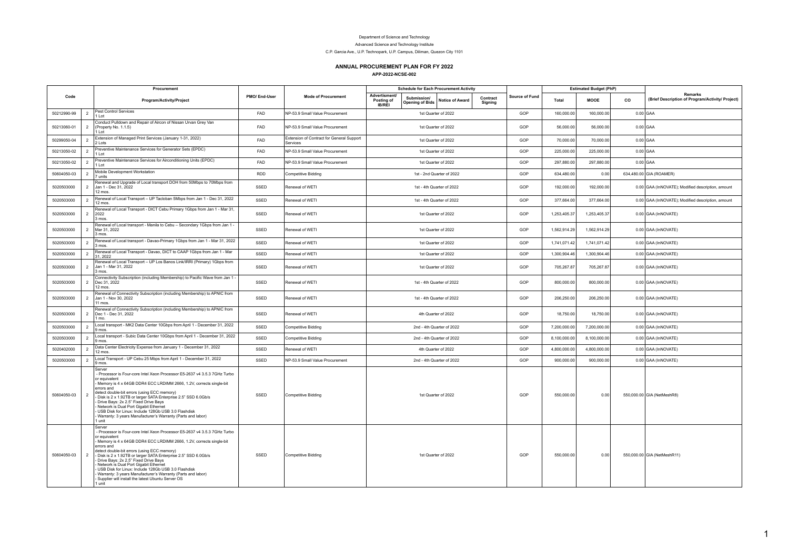## Department of Science and Technology

Advanced Science and Technology Institute

C.P. Garcia Ave., U.P. Technopark, U.P. Campus, Diliman, Quezon City 1101

## **ANNUAL PROCUREMENT PLAN FOR FY 2022**

|             | Procurement                                                                                                                                                                                                                                                                                                                                                                                                                                                                                                                                                                       |              |                                                       |                                       | <b>Schedule for Each Procurement Activity</b> |                        |                     |                |              | <b>Estimated Budget (PhP)</b> |    |                                                                    |
|-------------|-----------------------------------------------------------------------------------------------------------------------------------------------------------------------------------------------------------------------------------------------------------------------------------------------------------------------------------------------------------------------------------------------------------------------------------------------------------------------------------------------------------------------------------------------------------------------------------|--------------|-------------------------------------------------------|---------------------------------------|-----------------------------------------------|------------------------|---------------------|----------------|--------------|-------------------------------|----|--------------------------------------------------------------------|
| Code        | Program/Activity/Project                                                                                                                                                                                                                                                                                                                                                                                                                                                                                                                                                          | PMO/End-User | <b>Mode of Procurement</b>                            | Advertisment/<br>Posting of<br>IB/REI | Submission/<br><b>Opening of Bids</b>         | <b>Notice of Award</b> | Contract<br>Signing | Source of Fund | Total        | MOOE                          | CO | <b>Remarks</b><br>(Brief Description of Program/Activity/ Project) |
| 50212990-99 | Pest Control Services<br>$\overline{2}$<br>$11$ ot                                                                                                                                                                                                                                                                                                                                                                                                                                                                                                                                | FAD          | NP-53.9 Small Value Procurement                       |                                       | 1st Quarter of 2022                           |                        |                     | GOP            | 160,000.00   | 160,000.00                    |    | $0.00$ GAA                                                         |
| 50213060-01 | Conduct Pulldown and Repair of Aircon of Nissan Urvan Grey Van<br>$\overline{2}$<br>(Property No. 1.1.5)<br>$11$ ot                                                                                                                                                                                                                                                                                                                                                                                                                                                               | FAD          | NP-53.9 Small Value Procurement                       |                                       | 1st Quarter of 2022                           |                        |                     | GOP            | 56,000.00    | 56,000.00                     |    | $0.00$ GAA                                                         |
| 50299050-04 | Extension of Managed Print Services (January 1-31, 2022)<br>$\overline{2}$<br>2 Lots                                                                                                                                                                                                                                                                                                                                                                                                                                                                                              | FAD          | Extension of Contract for General Support<br>Services |                                       | 1st Quarter of 2022                           |                        |                     | GOP            | 70,000.00    | 70,000.00                     |    | $0.00$ GAA                                                         |
| 50213050-02 | Preventive Maintenance Services for Generator Sets (EPDC)<br>$\overline{2}$<br>$I$ of                                                                                                                                                                                                                                                                                                                                                                                                                                                                                             | FAD          | NP-53.9 Small Value Procurement                       |                                       | 1st Quarter of 2022                           |                        |                     | GOP            | 225,000.00   | 225,000.00                    |    | $0.00$ GAA                                                         |
| 50213050-02 | Preventive Maintenance Services for Airconditioning Units (EPDC)<br>$\overline{2}$<br>$11$ ot                                                                                                                                                                                                                                                                                                                                                                                                                                                                                     | FAD          | NP-53.9 Small Value Procurement                       |                                       | 1st Quarter of 2022                           |                        |                     | GOP            | 297.880.00   | 297.880.00                    |    | $0.00$ GAA                                                         |
| 50604050-03 | Mobile Development Workstation<br>$\overline{2}$<br>7 units                                                                                                                                                                                                                                                                                                                                                                                                                                                                                                                       | <b>RDD</b>   | Competitive Bidding                                   |                                       | 1st - 2nd Quarter of 2022                     |                        |                     | GOP            | 634,480.00   | 0.00                          |    | 634,480.00 GIA (ROAMER)                                            |
| 5020503000  | Renewal and Upgrade of Local transport DOH from 50Mbps to 70Mbps from<br>Jan 1 - Dec 31, 2022<br>$\overline{2}$<br>12 mos.                                                                                                                                                                                                                                                                                                                                                                                                                                                        | SSED         | Renewal of WETI                                       |                                       | 1st - 4th Quarter of 2022                     |                        |                     | GOP            | 192.000.00   | 192.000.00                    |    | 0.00 GAA (InNOVATE); Modified description, amount                  |
| 5020503000  | Renewal of Local Transport - UP Tacloban 5Mbps from Jan 1 - Dec 31, 2022<br>$\overline{2}$<br>12 mos.                                                                                                                                                                                                                                                                                                                                                                                                                                                                             | SSED         | Renewal of WETI                                       |                                       | 1st - 4th Quarter of 2022                     |                        |                     | GOP            | 377,664.00   | 377,664.00                    |    | 0.00 GAA (InNOVATE); Modified description, amount                  |
| 5020503000  | Renewal of Local Transport - DICT Cebu Primary 1Gbps from Jan 1 - Mar 31,<br>$\overline{2}$<br>2022<br>3 mos.                                                                                                                                                                                                                                                                                                                                                                                                                                                                     | SSED         | Renewal of WETI                                       |                                       | 1st Quarter of 2022                           |                        |                     | GOP            | 1,253,405.37 | 1.253.405.37                  |    | 0.00 GAA (InNOVATE)                                                |
| 5020503000  | Renewal of Local transport - Manila to Cebu - Secondary 1Gbps from Jan 1 -<br>$\overline{2}$<br>Mar 31, 2022<br>3 mos.                                                                                                                                                                                                                                                                                                                                                                                                                                                            | SSED         | Renewal of WETI                                       |                                       | 1st Quarter of 2022                           |                        |                     | GOP            | 1,562,914.29 | 1,562,914.29                  |    | 0.00 GAA (InNOVATE)                                                |
| 5020503000  | Renewal of Local transport - Davao-Primary 1Gbps from Jan 1 - Mar 31, 2022<br>$\overline{2}$<br>3 mos.                                                                                                                                                                                                                                                                                                                                                                                                                                                                            | SSED         | Renewal of WETI                                       |                                       | 1st Quarter of 2022                           |                        |                     | GOP            | 1,741,071.42 | 1,741,071.42                  |    | 0.00 GAA (InNOVATE)                                                |
| 5020503000  | Renewal of Local Transport - Davao, DICT to CAAP 1Gbps from Jan 1 - Mar<br>$\overline{2}$<br>31.2022                                                                                                                                                                                                                                                                                                                                                                                                                                                                              | SSED         | Renewal of WETI                                       |                                       | 1st Quarter of 2022                           |                        |                     | GOP            | 1,300,904.46 | 1,300,904.46                  |    | 0.00 GAA (InNOVATE)                                                |
| 5020503000  | Renewal of Local Transport - UP Los Banos Link/IRRI (Primary) 1Gbps from<br>$\overline{2}$<br>Jan 1 - Mar 31, 2022<br>3 mos.                                                                                                                                                                                                                                                                                                                                                                                                                                                      | SSED         | Renewal of WETI                                       |                                       | 1st Quarter of 2022                           |                        |                     | GOP            | 705,267.87   | 705,267.87                    |    | 0.00 GAA (InNOVATE)                                                |
| 5020503000  | Connectivity Subscription (including Membership) to Pacific Wave from Jan 1 -<br>2<br>Dec 31, 2022<br>12 mos.                                                                                                                                                                                                                                                                                                                                                                                                                                                                     | SSED         | Renewal of WETI                                       |                                       | 1st - 4th Quarter of 2022                     |                        |                     | GOP            | 800.000.00   | 800.000.00                    |    | 0.00 GAA (InNOVATE)                                                |
| 5020503000  | Renewal of Connectivity Subscription (including Membership) to APNIC from<br>$\overline{2}$<br>Jan 1 - Nov 30, 2022<br>$11 \text{ m}$ os                                                                                                                                                                                                                                                                                                                                                                                                                                          | SSED         | Renewal of WETI                                       |                                       | 1st - 4th Quarter of 2022                     |                        |                     | GOP            | 206,250.00   | 206,250.00                    |    | 0.00 GAA (InNOVATE)                                                |
| 5020503000  | Renewal of Connectivity Subscription (including Membership) to APNIC from<br>$\overline{2}$<br>Dec 1 - Dec 31, 2022<br>$1$ mo.                                                                                                                                                                                                                                                                                                                                                                                                                                                    | SSED         | Renewal of WETI                                       |                                       | 4th Quarter of 2022                           |                        |                     | GOP            | 18,750.00    | 18,750.00                     |    | 0.00 GAA (InNOVATE)                                                |
| 5020503000  | Local transport - MK2 Data Center 10Gbps from April 1 - December 31, 2022<br>$\overline{2}$<br>9 mos.                                                                                                                                                                                                                                                                                                                                                                                                                                                                             | SSED         | <b>Competitive Bidding</b>                            |                                       | 2nd - 4th Quarter of 2022                     |                        |                     | GOP            | 7,200,000.00 | 7,200,000.00                  |    | 0.00 GAA (InNOVATE)                                                |
| 5020503000  | Local transport - Subic Data Center 10Gbps from April 1 - December 31, 2022<br>$\overline{2}$<br>9 mos.                                                                                                                                                                                                                                                                                                                                                                                                                                                                           | SSED         | Competitive Bidding                                   |                                       | 2nd - 4th Quarter of 2022                     |                        |                     | GOP            | 8,100,000.00 | 8,100,000.00                  |    | 0.00 GAA (InNOVATE)                                                |
| 5020402000  | Data Center Electricity Expense from January 1 - December 31, 2022<br>$\overline{2}$<br>12 mos.                                                                                                                                                                                                                                                                                                                                                                                                                                                                                   | SSED         | Renewal of WETI                                       |                                       | 4th Quarter of 2022                           |                        |                     | GOP            | 4,800,000.00 | 4,800,000.00                  |    | 0.00 GAA (InNOVATE)                                                |
| 5020503000  | Local Transport - UP Cebu 25 Mbps from April 1 - December 31, 2022<br>2<br>9 mos.                                                                                                                                                                                                                                                                                                                                                                                                                                                                                                 | SSED         | NP-53.9 Small Value Procurement                       |                                       | 2nd - 4th Quarter of 2022                     |                        |                     | GOP            | 900.000.00   | 900.000.00                    |    | 0.00 GAA (InNOVATE)                                                |
| 50604050-03 | Server<br>- Processor is Four-core Intel Xeon Processor E5-2637 v4 3.5.3 7GHz Turbo<br>or equivalent<br>Memory is 4 x 64GB DDR4 ECC LRDIMM 2666, 1.2V, corrects single-bit<br>errors and<br>detect double-bit errors (using ECC memory)<br>$\overline{2}$<br>Disk is 2 x 1.92TB or larger SATA Enterprise 2.5" SSD 6.0Gb/s<br>Drive Bays: 2x 2.5" Fixed Drive Bays<br>Network is Dual Port Gigabit Ethernet<br>USB Disk for Linux: Include 128Gb USB 3.0 Flashdisk<br>Warranty: 3 years Manufacturer's Warranty (Parts and labor)<br>l unit                                       | SSED         | Competitive Bidding                                   |                                       | 1st Quarter of 2022                           |                        |                     | GOP            | 550,000.00   | 0.00                          |    | 550,000.00 GIA (NetMeshR8)                                         |
| 50604050-03 | Server<br>Processor is Four-core Intel Xeon Processor E5-2637 v4 3.5.3 7GHz Turbo<br>or equivalent<br>Memory is 4 x 64GB DDR4 ECC LRDIMM 2666, 1.2V, corrects single-bit<br>errors and<br>detect double-bit errors (using ECC memory)<br>2<br>Disk is 2 x 1.92TB or larger SATA Enterprise 2.5" SSD 6.0Gb/s<br>Drive Bays: 2x 2.5" Fixed Drive Bays<br>Network is Dual Port Gigabit Ethernet<br>USB Disk for Linux: Include 128Gb USB 3.0 Flashdisk<br>Warranty: 3 years Manufacturer's Warranty (Parts and labor)<br>Supplier will install the latest Ubuntu Server OS<br>1 unit | SSED         | Competitive Bidding                                   |                                       | 1st Quarter of 2022                           |                        |                     | GOP            | 550,000.00   | 0.00                          |    | 550,000.00 GIA (NetMeshR11)                                        |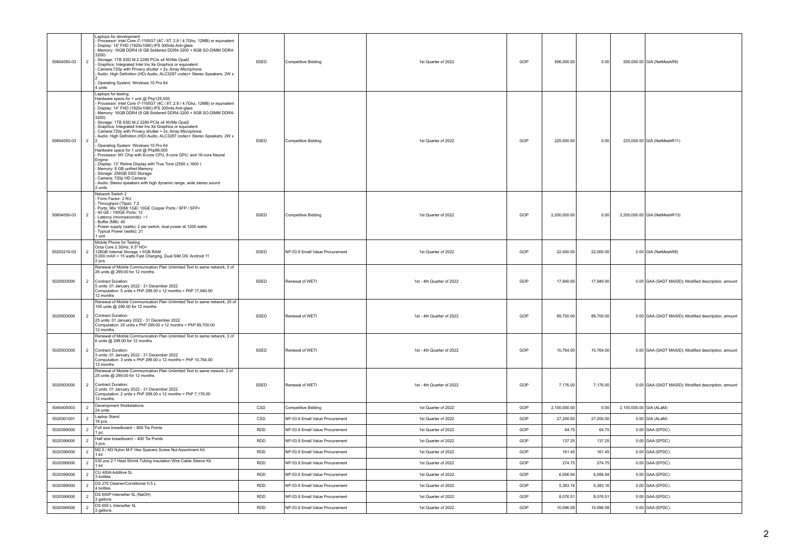| 50604050-03              | $\overline{2}$                   | Laptops for development<br>Processor: Intel Core i7-1165G7 (4C / 8T, 2.8 / 4.7Ghz, 12MB) or equivalent<br>Display: 14" FHD (1920x1080) IPS 300nits Anti-glare<br>Memory: 16GB DDR4 (8 GB Soldered DDR4-3200 + 8GB SO-DIMM DDR4-<br>3200)<br>Storage: 1TB SSD M.2 2280 PCIe x4 NVMe Opal2<br>Graphics: Integrated Intel Iris Xe Graphics or equivalent<br>Camera: 720p with Privacy shutter + 2x, Array Microphone<br>Audio: High Definition (HD) Audio, ALC3287 codec+ Stereo Speakers, 2W x<br>Operating System: Windows 10 Pro 64<br>4 units                                                                                                                                                                                                                                                                                                                                                                                               | SSED              | Competitive Bidding                                                | 1st Quarter of 2022                        | GOP        | 506,000.00           | 0.00                 |                         | 506,000.00 GIA (NetMeshR8)                          |
|--------------------------|----------------------------------|----------------------------------------------------------------------------------------------------------------------------------------------------------------------------------------------------------------------------------------------------------------------------------------------------------------------------------------------------------------------------------------------------------------------------------------------------------------------------------------------------------------------------------------------------------------------------------------------------------------------------------------------------------------------------------------------------------------------------------------------------------------------------------------------------------------------------------------------------------------------------------------------------------------------------------------------|-------------------|--------------------------------------------------------------------|--------------------------------------------|------------|----------------------|----------------------|-------------------------|-----------------------------------------------------|
| 50604050-03              | $\overline{2}$                   | Laptops for testing<br>Hardware specs for 1 unit @ Php126,500<br>- Processor: Intel Core i7-1165G7 (4C / 8T, 2.8 / 4.7Ghz, 12MB) or equivalent<br>Display: 14" FHD (1920x1080) IPS 300nits Anti-glare<br>Memory: 16GB DDR4 (8 GB Soldered DDR4-3200 + 8GB SO-DIMM DDR4-<br>3200)<br>Storage: 1TB SSD M.2 2280 PCIe x4 NVMe Opal2<br>- Graphics: Integrated Intel Iris Xe Graphics or equivalent<br>- Camera:720p with Privacy shutter + 2x, Array Microphone<br>Audio: High Definition (HD) Audio, ALC3287 codec+ Stereo Speakers, 2W x<br>Operating System: Windows 10 Pro 64<br>Hardware specs for 1 unit @ Php99,000<br>Processor: M1 Chip with 8-core CPU, 8-core GPU, and 16-core Neural<br>Engine<br>Display: 13" Retina Display with True Tone (2560 x 1600)<br>Memory: 8 GB unified Memory<br>- Storage: 256GB SSD Storage<br>Camera: 720p HD Camera<br>Audio: Stereo speakers with high dynamic range, wide stereo sound<br>2 units | SSED              | Competitive Bidding                                                | 1st Quarter of 2022                        | GOP        | 225,000.00           | 0.00                 |                         | 225,000.00 GIA (NetMeshR11)                         |
| 50604050-03              | $\overline{2}$                   | Network Switch 2<br>Form Factor: 2 RU<br>Throughput (Tbps): 7.2<br>Ports: 96x 100M/ 1GE/ 10GE Copper Ports / SFP / SFP+<br>40 GE / 100GE Ports: 12<br>Latency (microseconds): ~1<br>Buffer (MB): 40<br>- Power supply (watts): 2 per switch, dual power at 1200 watts<br>- Typical Power (watts): 21<br>I unit                                                                                                                                                                                                                                                                                                                                                                                                                                                                                                                                                                                                                               | SSED              | Competitive Bidding                                                | 1st Quarter of 2022                        | GOP        | 2,200,000.00         | 0.00                 |                         | 2,200,000.00 GIA (NetMeshR13)                       |
| 50203210-03              | $\overline{2}$                   | Mobile Phone for Testing<br>Octa Core 2.3GHz, 6.5" HD+<br>128GB Internal Storage + 6GB RAM<br>5,000 mAH + 15 watts Fast Charging, Dual SIM OS: Android 11<br>2 pcs.                                                                                                                                                                                                                                                                                                                                                                                                                                                                                                                                                                                                                                                                                                                                                                          | SSED              | NP-53.9 Small Value Procurement                                    | 1st Quarter of 2022                        | GOP        | 22,000.00            | 22,000.00            |                         | 0.00 GIA (NetMeshR8)                                |
| 5020503000               | $\overline{2}$                   | Renewal of Mobile Communication Plan Unlimited Text to same network, 5 of<br>26 units @ 299.00 for 12 months<br>Contract Duration:<br>5 units: 01 January 2022 - 31 December 2022<br>Computation: 5 units x PhP 299.00 x 12 months = PhP 17,940.00<br>12 months                                                                                                                                                                                                                                                                                                                                                                                                                                                                                                                                                                                                                                                                              | SSED              | Renewal of WETI                                                    | 1st - 4th Quarter of 2022                  | GOP        | 17,940.00            | 17,940.00            |                         | 0.00 GAA (SADT MASID); Modified description, amount |
| 5020503000               | $\overline{2}$                   | Renewal of Mobile Communication Plan Unlimited Text to same network, 25 of<br>105 units @ 299.00 for 12 months<br>Contract Duration:<br>25 units: 01 January 2022 - 31 December 2022<br>Computation: 25 units x PhP 299.00 x 12 months = PhP 89,700.00<br>12 months                                                                                                                                                                                                                                                                                                                                                                                                                                                                                                                                                                                                                                                                          | SSED              | Renewal of WETI                                                    | 1st - 4th Quarter of 2022                  | GOP        | 89,700.00            | 89,700.00            |                         | 0.00 GAA (SADT MASID); Modified description, amount |
| 5020503000               | $\overline{2}$                   | Renewal of Mobile Communication Plan Unlimited Text to same network, 3 of<br>6 units @ 299.00 for 12 months<br>Contract Duration:<br>3 units: 01 January 2022 - 31 December 2022<br>Computation: 3 units x PhP 299.00 x 12 months = PhP 10,764.00<br>12 months                                                                                                                                                                                                                                                                                                                                                                                                                                                                                                                                                                                                                                                                               | SSED              | Renewal of WETI                                                    | 1st - 4th Quarter of 2022                  | GOP        | 10,764.00            | 10,764.00            |                         | 0.00 GAA (SADT MASID); Modified description, amount |
| 5020503000               | $\overline{2}$                   | Renewal of Mobile Communication Plan Unlimited Text to same nework, 2 of<br>25 units @ 299.00 for 12 months<br>Contract Duration:<br>2 units: 01 January 2022 - 31 December 2022<br>Computation: 2 units x PhP 299.00 x 12 months = PhP 7,176.00<br>12 months                                                                                                                                                                                                                                                                                                                                                                                                                                                                                                                                                                                                                                                                                | SSED              | Renewal of WETI                                                    | 1st - 4th Quarter of 2022                  | GOP        | 7,176.00             | 7,176.00             |                         | 0.00 GAA (SADT MASID); Modified description, amount |
| 5060405003               | $\overline{2}$                   | Development Workstations<br>24 units                                                                                                                                                                                                                                                                                                                                                                                                                                                                                                                                                                                                                                                                                                                                                                                                                                                                                                         | CSD               | Competitive Bidding                                                | 1st Quarter of 2022                        | GOP        | 2,100,000.00         | 0.00                 | 2,100,000.00 GIA (ALaM) |                                                     |
| 5020301001               | $\overline{2}$                   | Laptop Stand<br>16 pcs.                                                                                                                                                                                                                                                                                                                                                                                                                                                                                                                                                                                                                                                                                                                                                                                                                                                                                                                      | CSD               | NP-53.9 Small Value Procurement                                    | 1st Quarter of 2022                        | GOP        | 27,200.00            | 27,200.00            |                         | $0.00$ GIA (ALaM)                                   |
| 5020399000               | $\overline{2}$                   | Full size breadboard - 800 Tie Points<br>1 pc.                                                                                                                                                                                                                                                                                                                                                                                                                                                                                                                                                                                                                                                                                                                                                                                                                                                                                               | <b>RDD</b>        | NP-53.9 Small Value Procurement                                    | 1st Quarter of 2022                        | GOP        | 64.75                | 64.75                |                         | $0.00$ GAA (EPDC)                                   |
| 5020399000               | $\overline{2}$                   | Half size breadboard - 400 Tie Points<br>3 pcs.                                                                                                                                                                                                                                                                                                                                                                                                                                                                                                                                                                                                                                                                                                                                                                                                                                                                                              | <b>RDD</b>        | NP-53.9 Small Value Procurement                                    | 1st Quarter of 2022                        | GOP        | 137.25               | 137.25               |                         | $0.00$ GAA (EPDC)                                   |
| 5020399000               | $\overline{2}$                   | M2.5 / M3 Nylon M-F Hex Spacers Screw Nut Assortment Kit<br>1 kit                                                                                                                                                                                                                                                                                                                                                                                                                                                                                                                                                                                                                                                                                                                                                                                                                                                                            | <b>RDD</b>        | NP-53.9 Small Value Procurement                                    | 1st Quarter of 2022                        | GOP        | 161.45               | 161.45               |                         | $0.00$ GAA (EPDC)                                   |
| 5020399000               | $\overline{2}$                   | 530 pcs 2:1 Heat Shrink Tubing Insulation Wire Cable Sleeve Kit 1 kit<br>CU 400A Additive 5L                                                                                                                                                                                                                                                                                                                                                                                                                                                                                                                                                                                                                                                                                                                                                                                                                                                 | <b>RDD</b>        | NP-53.9 Small Value Procurement                                    | 1st Quarter of 2022                        | GOP        | 274.75               | 274.75               |                         | $0.00$ GAA (EPDC)                                   |
| 5020399000<br>5020399000 | $\overline{2}$<br>$\overline{2}$ | 3 bottles<br>DS 270 Cleaner/Conditioner 0.5 L                                                                                                                                                                                                                                                                                                                                                                                                                                                                                                                                                                                                                                                                                                                                                                                                                                                                                                | RDD<br><b>RDD</b> | NP-53.9 Small Value Procurement                                    | 1st Quarter of 2022<br>1st Quarter of 2022 | GOP<br>GOP | 6,056.94<br>5.383.16 | 6,056.94<br>5.383.16 |                         | $0.00$ GAA (EPDC)                                   |
| 5020399000               | $\overline{2}$                   | 4 bottles<br>DS 650P Intensifier 5L (NaOH)                                                                                                                                                                                                                                                                                                                                                                                                                                                                                                                                                                                                                                                                                                                                                                                                                                                                                                   | <b>RDD</b>        | NP-53.9 Small Value Procurement<br>NP-53.9 Small Value Procurement | 1st Quarter of 2022                        | GOP        | 8.076.51             | 8,076.51             |                         | $0.00$ GAA (EPDC)                                   |
| 5020399000               | $\overline{2}$                   | 3 gallons<br>DS 650 L Intensifier 5L                                                                                                                                                                                                                                                                                                                                                                                                                                                                                                                                                                                                                                                                                                                                                                                                                                                                                                         | <b>RDD</b>        | NP-53.9 Small Value Procurement                                    | 1st Quarter of 2022                        | GOP        | 10.096.08            | 10.096.08            |                         | $0.00$ GAA (EPDC)<br>$0.00$ GAA (EPDC)              |
|                          |                                  | 3 gallons                                                                                                                                                                                                                                                                                                                                                                                                                                                                                                                                                                                                                                                                                                                                                                                                                                                                                                                                    |                   |                                                                    |                                            |            |                      |                      |                         |                                                     |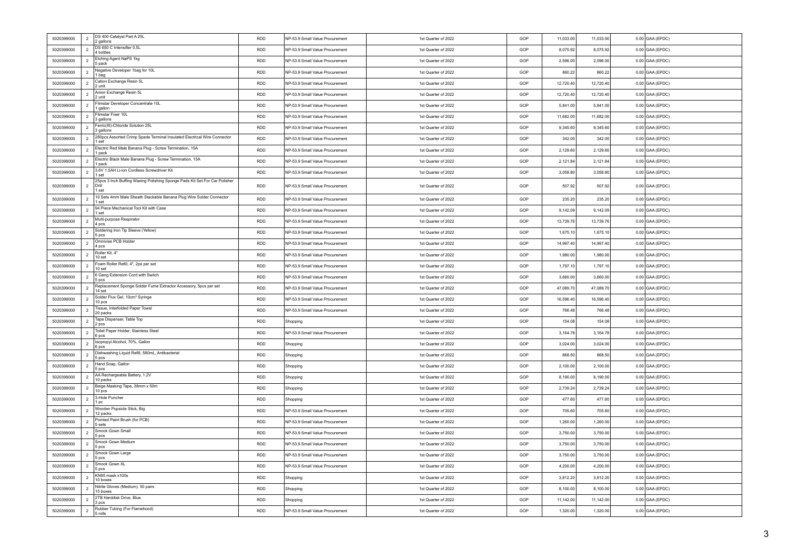| 5020399000 | DS 400 Catalyst Part A 20L<br>$\overline{2}$<br>2 gallons                                           | <b>RDD</b> | NP-53.9 Small Value Procurement | 1st Quarter of 2022 | GOP | 11,033.00 | 11,033.00 | $0.00$ GAA (EPDC) |
|------------|-----------------------------------------------------------------------------------------------------|------------|---------------------------------|---------------------|-----|-----------|-----------|-------------------|
| 5020399000 | DS 650 C Intensifier 0.5L<br>$\overline{2}$<br>4 bottles                                            | <b>RDD</b> | NP-53.9 Small Value Procurement | 1st Quarter of 2022 | GOP | 8.075.92  | 8,075.92  | $0.00$ GAA (EPDC) |
| 5020399000 | Etching Agent NaPS 1kg<br>$\overline{2}$<br>5 pack                                                  | <b>RDD</b> | NP-53.9 Small Value Procurement | 1st Quarter of 2022 | GOP | 2.596.00  | 2.596.00  | $0.00$ GAA (EPDC) |
| 5020399000 | Negative Developer 1bag for 10L<br>2<br>1 bag                                                       | <b>RDD</b> | NP-53.9 Small Value Procurement | 1st Quarter of 2022 | GOP | 860.22    | 860.22    | $0.00$ GAA (EPDC) |
| 5020399000 | Cation Exchange Resin 5L<br>$\overline{2}$<br>2 unit                                                | <b>RDD</b> | NP-53.9 Small Value Procurement | 1st Quarter of 2022 | GOP | 12,720.40 | 12,720.40 | $0.00$ GAA (EPDC) |
| 5020399000 | Anion Exchange Resin 5L<br>$\overline{2}$<br>2 unit                                                 | <b>RDD</b> | NP-53.9 Small Value Procurement | 1st Quarter of 2022 | GOP | 12,720.40 | 12,720.40 | $0.00$ GAA (EPDC) |
| 5020399000 | Filmstar Developer Concentrate 10L<br>$\overline{2}$<br>1 gallon                                    | <b>RDD</b> | NP-53.9 Small Value Procurement | 1st Quarter of 2022 | GOP | 5,841.00  | 5,841.00  | $0.00$ GAA (EPDC) |
| 5020399000 | Filmstar Fixer 10I<br>$\overline{2}$<br>3 gallons                                                   | <b>RDD</b> | NP-53.9 Small Value Procurement | 1st Quarter of 2022 | GOP | 11,682.00 | 11,682.00 | $0.00$ GAA (EPDC) |
| 5020399000 | Ferric(III)-Chloride Solution 25L<br>$\overline{2}$<br>3 gallons                                    | <b>RDD</b> | NP-53.9 Small Value Procurement | 1st Quarter of 2022 | GOP | 9,345.60  | 9,345.60  | $0.00$ GAA (EPDC) |
| 5020399000 | 280pcs Assorted Crimp Spade Terminal Insulated Electrical Wire Connector<br>$\overline{2}$<br>1 set | <b>RDD</b> | NP-53.9 Small Value Procurement | 1st Quarter of 2022 | GOP | 342.00    | 342.00    | $0.00$ GAA (EPDC) |
| 5020399000 | Electric Red Male Banana Plug - Screw Termination, 15A<br>2<br>1 pack                               | <b>RDD</b> | NP-53.9 Small Value Procurement | 1st Quarter of 2022 | GOP | 2,129.60  | 2,129.60  | $0.00$ GAA (EPDC) |
| 5020399000 | Electric Black Male Banana Plug - Screw Termination, 15A<br>2<br>1 pack                             | <b>RDD</b> | NP-53.9 Small Value Procurement | 1st Quarter of 2022 | GOP | 2,121.84  | 2,121.84  | $0.00$ GAA (EPDC) |
| 5020399000 | 3.6V 1.5AH Li-ion Cordless Screwdriver Kit<br>$\overline{2}$<br>1 set                               | <b>RDD</b> | NP-53.9 Small Value Procurement | 1st Quarter of 2022 | GOP | 3,058.80  | 3,058.80  | $0.00$ GAA (EPDC) |
| 5020399000 | 25pcs 3 Inch Buffing Waxing Polishing Sponge Pads Kit Set For Car Polisher<br>2<br>Drill<br>1 set   | <b>RDD</b> | NP-53.9 Small Value Procurement | 1st Quarter of 2022 | GOP | 507.92    | 507.92    | $0.00$ GAA (EPDC) |
| 5020399000 | 10 Sets 4mm Male Sheath Stackable Banana Plug Wire Solder Connector<br>2<br>1 set                   | <b>RDD</b> | NP-53.9 Small Value Procurement | 1st Quarter of 2022 | GOP | 235.20    | 235.20    | $0.00$ GAA (EPDC) |
| 5020399000 | 94 Piece Mechanical Tool Kit with Case<br>$\overline{2}$<br>1 set                                   | <b>RDD</b> | NP-53.9 Small Value Procurement | 1st Quarter of 2022 | GOP | 9,142.09  | 9,142.09  | $0.00$ GAA (EPDC) |
| 5020399000 | Multi-purpose Respirator<br>$\overline{2}$<br>4 pcs.                                                | <b>RDD</b> | NP-53.9 Small Value Procurement | 1st Quarter of 2022 | GOP | 13.739.76 | 13,739.76 | $0.00$ GAA (EPDC) |
| 5020399000 | Soldering Iron Tip Sleeve (Yellow)<br>$\overline{2}$<br>5 pcs                                       | <b>RDD</b> | NP-53.9 Small Value Procurement | 1st Quarter of 2022 | GOP | 1,675.10  | 1,675.10  | $0.00$ GAA (EPDC) |
| 5020399000 | Omnivise PCB Holder<br>2<br>4 pcs                                                                   | <b>RDD</b> | NP-53.9 Small Value Procurement | 1st Quarter of 2022 | GOP | 14.997.40 | 14.997.40 | $0.00$ GAA (EPDC) |
| 5020399000 | Roller Kit, 4"<br>$\overline{2}$<br>10 set                                                          | <b>RDD</b> | NP-53.9 Small Value Procurement | 1st Quarter of 2022 | GOP | 1,980.00  | 1,980.00  | $0.00$ GAA (EPDC) |
| 5020399000 | Foam Roller Refill, 4", 2ps per set<br>$\overline{2}$<br>10 set                                     | <b>RDD</b> | NP-53.9 Small Value Procurement | 1st Quarter of 2022 | GOP | 1,797.10  | 1,797.10  | $0.00$ GAA (EPDC) |
| 5020399000 | 6 Gang Extension Cord with Switch<br>$\overline{2}$<br>5 pcs                                        | <b>RDD</b> | NP-53.9 Small Value Procurement | 1st Quarter of 2022 | GOP | 3,660.00  | 3.660.00  | $0.00$ GAA (EPDC) |
| 5020399000 | Replacement Sponge Solder Fume Extractor Accessory, 5pcs per set<br>$\overline{2}$<br>14 set        | <b>RDD</b> | NP-53.9 Small Value Procurement | 1st Quarter of 2022 | GOP | 47,089.70 | 47,089.70 | $0.00$ GAA (EPDC) |
| 5020399000 | Solder Flux Gel, 10cm <sup>3</sup> Syringe<br>$\overline{2}$<br>10 pcs                              | <b>RDD</b> | NP-53.9 Small Value Procurement | 1st Quarter of 2022 | GOP | 16,596.40 | 16,596.40 | $0.00$ GAA (EPDC) |
| 5020399000 | Tissue, Interfolded Paper Towel<br>$\overline{2}$<br>20 packs                                       | <b>RDD</b> | NP-53.9 Small Value Procurement | 1st Quarter of 2022 | GOP | 766.48    | 766.48    | $0.00$ GAA (EPDC) |
| 5020399000 | Tape Dispenser, Table Top<br>2<br>2 pcs                                                             | <b>RDD</b> | Shopping                        | 1st Quarter of 2022 | GOP | 154.08    | 154.08    | $0.00$ GAA (EPDC) |
| 5020399000 | Toilet Paper Holder, Stainless Steel<br>$\overline{2}$<br>6 pcs                                     | <b>RDD</b> | NP-53.9 Small Value Procurement | 1st Quarter of 2022 | GOP | 3,164.78  | 3,164.78  | $0.00$ GAA (EPDC) |
| 5020399000 | Isopropyl Alcohol, 70%, Gallon<br>$\overline{2}$<br>6 pcs                                           | <b>RDD</b> | Shopping                        | 1st Quarter of 2022 | GOP | 3,024.00  | 3,024.00  | $0.00$ GAA (EPDC) |
| 5020399000 | Dishwashing Liquid Refill, 580mL, Antibacterial<br>$\overline{2}$<br>5 pcs                          | <b>RDD</b> | Shopping                        | 1st Quarter of 2022 | GOP | 868.50    | 868.50    | $0.00$ GAA (EPDC) |
| 5020399000 | Hand Soap, Gallon<br>$\overline{2}$<br>5 pcs                                                        | <b>RDD</b> | Shopping                        | 1st Quarter of 2022 | GOP | 2,100.00  | 2,100.00  | $0.00$ GAA (EPDC) |
| 5020399000 | AA Rechargeable Battery, 1.2V<br>$\overline{2}$<br>10 packs                                         | <b>RDD</b> | Shopping                        | 1st Quarter of 2022 | GOP | 8,190.00  | 8,190.00  | $0.00$ GAA (EPDC) |
| 5020399000 | Beige Masking Tape, 38mm x 50m<br>$\overline{2}$<br>10 pcs                                          | <b>RDD</b> | Shopping                        | 1st Quarter of 2022 | GOP | 2,739.24  | 2,739.24  | $0.00$ GAA (EPDC) |
| 5020399000 | 3-Hole Puncher<br>$\overline{2}$<br>1 pc                                                            | <b>RDD</b> | Shopping                        | 1st Quarter of 2022 | GOP | 477.60    | 477.60    | $0.00$ GAA (EPDC) |
| 5020399000 | Wooden Popsicle Stick, Big<br>2<br>12 packs                                                         | <b>RDD</b> | NP-53.9 Small Value Procurement | 1st Quarter of 2022 | GOP | 705.60    | 705.60    | $0.00$ GAA (EPDC) |
| 5020399000 | Pointed Paint Brush (for PCB)<br>$\overline{2}$<br>5 sets                                           | <b>RDD</b> | NP-53.9 Small Value Procurement | 1st Quarter of 2022 | GOP | 1,260.00  | 1,260.00  | $0.00$ GAA (EPDC) |
| 5020399000 | Smock Gown Small<br>$\overline{2}$<br>5 pcs                                                         | <b>RDD</b> | NP-53.9 Small Value Procurement | 1st Quarter of 2022 | GOP | 3,750.00  | 3,750.00  | $0.00$ GAA (EPDC) |
| 5020399000 | Smock Gown Medium<br>$\overline{2}$<br>5 pcs                                                        | <b>RDD</b> | NP-53.9 Small Value Procurement | 1st Quarter of 2022 | GOP | 3,750.00  | 3,750.00  | $0.00$ GAA (EPDC) |
| 5020399000 | Smock Gown Large<br>$\overline{2}$<br>5 pcs                                                         | <b>RDD</b> | NP-53.9 Small Value Procurement | 1st Quarter of 2022 | GOP | 3,750.00  | 3,750.00  | $0.00$ GAA (EPDC) |
| 5020399000 | Smock Gown XL<br>$\overline{2}$<br>5 pcs                                                            | <b>RDD</b> | NP-53.9 Small Value Procurement | 1st Quarter of 2022 | GOP | 4,200.00  | 4,200.00  | $0.00$ GAA (EPDC) |
| 5020399000 | KN95 mask x100s<br>$\overline{2}$<br>10 boxes                                                       | <b>RDD</b> | Shopping                        | 1st Quarter of 2022 | GOP | 3,812.20  | 3,812.20  | $0.00$ GAA (EPDC) |
| 5020399000 | Nitrile Gloves (Medium), 50 pairs<br>$\overline{2}$<br>15 boxes                                     | <b>RDD</b> | Shopping                        | 1st Quarter of 2022 | GOP | 8.100.00  | 8,100.00  | $0.00$ GAA (EPDC) |
| 5020399000 | 2TB Harddisk Drive, Blue<br>2<br>3 pcs                                                              | <b>RDD</b> | Shopping                        | 1st Quarter of 2022 | GOP | 11.142.00 | 11,142.00 | $0.00$ GAA (EPDC) |
| 5020399000 | Rubber Tubing (For Flamehood)<br>$\overline{2}$<br>5 rolls                                          | <b>RDD</b> | NP-53.9 Small Value Procurement | 1st Quarter of 2022 | GOP | 1,320.00  | 1,320.00  | $0.00$ GAA (EPDC) |
|            |                                                                                                     |            |                                 |                     |     |           |           |                   |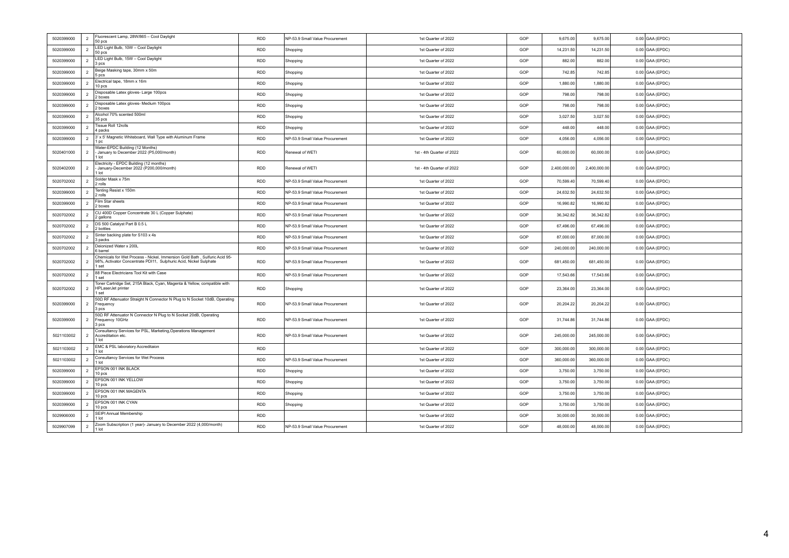| 5020399000 | $\overline{2}$ | Fluorescent Lamp, 28W/865 - Cool Daylight<br>50 pcs                                                                                                      | <b>RDD</b> | NP-53.9 Small Value Procurement | 1st Quarter of 2022       | GOP | 9,675.00     | 9,675.00     | $0.00$ GAA (EPDC) |
|------------|----------------|----------------------------------------------------------------------------------------------------------------------------------------------------------|------------|---------------------------------|---------------------------|-----|--------------|--------------|-------------------|
| 5020399000 | $\overline{2}$ | LED Light Bulb, 10W - Cool Daylight<br>50 pcs                                                                                                            | <b>RDD</b> | Shopping                        | 1st Quarter of 2022       | GOP | 14,231.50    | 14,231.50    | $0.00$ GAA (EPDC) |
| 5020399000 | $\overline{2}$ | LED Light Bulb, 15W - Cool Daylight<br>3 pcs                                                                                                             | <b>RDD</b> | Shopping                        | 1st Quarter of 2022       | GOP | 882.00       | 882.00       | $0.00$ GAA (EPDC) |
| 5020399000 | $\overline{2}$ | Beige Masking tape, 30mm x 50m<br>5 pcs                                                                                                                  | <b>RDD</b> | Shopping                        | 1st Quarter of 2022       | GOP | 742.85       | 742.85       | $0.00$ GAA (EPDC) |
| 5020399000 | $\overline{2}$ | Electrical tape, 18mm x 16m<br>10 pcs                                                                                                                    | <b>RDD</b> | Shopping                        | 1st Quarter of 2022       | GOP | 1,880.00     | 1,880.00     | $0.00$ GAA (EPDC) |
| 5020399000 | $\overline{2}$ | Disposable Latex gloves- Large 100pcs<br>2 boxes                                                                                                         | <b>RDD</b> | Shopping                        | 1st Quarter of 2022       | GOP | 798.00       | 798.00       | $0.00$ GAA (EPDC) |
| 5020399000 | $\overline{2}$ | Disposable Latex gloves- Medium 100pcs<br>2 boxes                                                                                                        | <b>RDD</b> | Shopping                        | 1st Quarter of 2022       | GOP | 798.00       | 798.00       | $0.00$ GAA (EPDC) |
| 5020399000 | $\overline{2}$ | Alcohol 70% scented 500ml<br>35 pcs                                                                                                                      | <b>RDD</b> | Shopping                        | 1st Quarter of 2022       | GOP | 3,027.50     | 3,027.50     | $0.00$ GAA (EPDC) |
| 5020399000 | $\overline{2}$ | Tissue Roll 12rolls<br>4 packs                                                                                                                           | <b>RDD</b> | Shopping                        | 1st Quarter of 2022       | GOP | 448.00       | 448.00       | $0.00$ GAA (EPDC) |
| 5020399000 | $\overline{2}$ | 3' x 5' Magnetic Whiteboard, Wall Type with Aluminum Frame<br>1 pc                                                                                       | RDD        | NP-53.9 Small Value Procurement | 1st Quarter of 2022       | GOP | 4,056.00     | 4,056.00     | $0.00$ GAA (EPDC) |
| 5020401000 | $\overline{2}$ | Water-EPDC Building (12 Months)<br>January to December 2022 (P5,000/month)<br>1 lot                                                                      | RDD        | Renewal of WETI                 | 1st - 4th Quarter of 2022 | GOP | 60,000.00    | 60,000.00    | $0.00$ GAA (EPDC) |
| 5020402000 | $\overline{2}$ | Electricity - EPDC Building (12 months)<br>January-December 2022 (P200,000/month)<br>1 lot                                                               | <b>RDD</b> | Renewal of WETI                 | 1st - 4th Quarter of 2022 | GOP | 2,400,000.00 | 2,400,000.00 | $0.00$ GAA (EPDC) |
| 5020702002 | 2              | Solder Mask x 75m<br>2 rolls                                                                                                                             | <b>RDD</b> | NP-53.9 Small Value Procurement | 1st Quarter of 2022       | GOP | 70.599.40    | 70.599.40    | $0.00$ GAA (EPDC) |
| 5020399000 | $\overline{2}$ | Tenting Resist x 150m<br>2 rolls                                                                                                                         | RDD        | NP-53.9 Small Value Procurement | 1st Quarter of 2022       | GOP | 24,632.50    | 24,632.50    | $0.00$ GAA (EPDC) |
| 5020399000 | $\overline{2}$ | Film Star sheets<br>2 boxes                                                                                                                              | <b>RDD</b> | NP-53.9 Small Value Procurement | 1st Quarter of 2022       | GOP | 16,990.82    | 16,990.82    | $0.00$ GAA (EPDC) |
| 5020702002 | 2              | CU 400D Copper Concentrate 30 L (Copper Sulphate)<br>2 gallons                                                                                           | <b>RDD</b> | NP-53.9 Small Value Procurement | 1st Quarter of 2022       | GOP | 36,342.82    | 36,342.82    | $0.00$ GAA (EPDC) |
| 5020702002 | $\overline{2}$ | DS 500 Catalyst Part B 0.5 L<br>2 bottles                                                                                                                | RDD        | NP-53.9 Small Value Procurement | 1st Quarter of 2022       | GOP | 67,496.00    | 67,496.00    | $0.00$ GAA (EPDC) |
| 5020702002 | $\overline{2}$ | Sinter backing plate for S103 x 4s<br>3 packs                                                                                                            | <b>RDD</b> | NP-53.9 Small Value Procurement | 1st Quarter of 2022       | GOP | 87,000.00    | 87,000.00    | $0.00$ GAA (EPDC) |
| 5020702002 | $\overline{2}$ | Deionized Water x 200L<br>6 barrel                                                                                                                       | <b>RDD</b> | NP-53.9 Small Value Procurement | 1st Quarter of 2022       | GOP | 240,000.00   | 240,000.00   | $0.00$ GAA (EPDC) |
| 5020702002 | $\overline{2}$ | Chemicals for Wet Process - Nickel, Immersion Gold Bath, Sulfuric Acid 95-<br>98%, Activator Concentrate PDI11, Sulphuric Acid, Nickel Sulphate<br>1 set | <b>RDD</b> | NP-53.9 Small Value Procurement | 1st Quarter of 2022       | GOP | 681,450.00   | 681,450.00   | $0.00$ GAA (EPDC) |
| 5020702002 | $\overline{2}$ | 88 Piece Electricians Tool Kit with Case<br>1 set                                                                                                        | <b>RDD</b> | NP-53.9 Small Value Procurement | 1st Quarter of 2022       | GOP | 17,543.66    | 17,543.66    | $0.00$ GAA (EPDC) |
| 5020702002 | $\overline{2}$ | Toner Cartridge Set, 215A Black, Cyan, Magenta & Yellow, compatible with<br><b>HPLaserJet</b> printer<br>1 set                                           | <b>RDD</b> | Shopping                        | 1st Quarter of 2022       | GOP | 23,364.00    | 23,364.00    | $0.00$ GAA (EPDC) |
| 5020399000 | 2              | 500 RF Attenuator Straight N Connector N Plug to N Socket 10dB, Operating<br>Frequency<br>3 pcs                                                          | <b>RDD</b> | NP-53.9 Small Value Procurement | 1st Quarter of 2022       | GOP | 20,204.22    | 20,204.22    | $0.00$ GAA (EPDC) |
| 5020399000 | $\overline{2}$ | 500 RF Attenuator N Connector N Plug to N Socket 20dB, Operating<br>Frequency 10GHz<br>3 ncs                                                             | <b>RDD</b> | NP-53.9 Small Value Procurement | 1st Quarter of 2022       | GOP | 31,744.86    | 31,744.86    | $0.00$ GAA (EPDC) |
| 5021103002 | $\overline{2}$ | Consultancy Services for PSL, Marketing, Operations Management<br>Accreditation etc.<br>$1$ Int                                                          | RDD        | NP-53.9 Small Value Procurement | 1st Quarter of 2022       | GOP | 245,000.00   | 245,000.00   | $0.00$ GAA (EPDC) |
| 5021103002 | $\overline{2}$ | EMC & PSL laboratory Accreditaion<br>1 lot                                                                                                               | <b>RDD</b> |                                 | 1st Quarter of 2022       | GOP | 300,000.00   | 300,000.00   | $0.00$ GAA (EPDC) |
| 5021103002 | $\overline{2}$ | Consultancy Services for Wet Process<br>1 lot                                                                                                            | <b>RDD</b> | NP-53.9 Small Value Procurement | 1st Quarter of 2022       | GOP | 360,000.00   | 360,000.00   | $0.00$ GAA (EPDC) |
| 5020399000 | 2              | EPSON 001 INK BLACK<br>10 pcs                                                                                                                            | <b>RDD</b> | Shopping                        | 1st Quarter of 2022       | GOP | 3.750.00     | 3,750.00     | $0.00$ GAA (EPDC) |
| 5020399000 | $\overline{2}$ | EPSON 001 INK YELLOW<br>10 pcs                                                                                                                           | <b>RDD</b> | Shopping                        | 1st Quarter of 2022       | GOP | 3,750.00     | 3,750.00     | $0.00$ GAA (EPDC) |
| 5020399000 | $\overline{2}$ | EPSON 001 INK MAGENTA<br>10 pcs                                                                                                                          | <b>RDD</b> | Shopping                        | 1st Quarter of 2022       | GOP | 3,750.00     | 3,750.00     | $0.00$ GAA (EPDC) |
| 5020399000 | $\overline{2}$ | EPSON 001 INK CYAN<br>10 pcs                                                                                                                             | <b>RDD</b> | Shopping                        | 1st Quarter of 2022       | GOP | 3,750.00     | 3,750.00     | $0.00$ GAA (EPDC) |
| 5029906000 | $\overline{2}$ | SEIPI Annual Membership<br>$1$ Int                                                                                                                       | <b>RDD</b> |                                 | 1st Quarter of 2022       | GOP | 30,000.00    | 30,000.00    | $0.00$ GAA (EPDC) |
| 5029907099 | $\overline{2}$ | Zoom Subscription (1 year)- January to December 2022 (4,000/month)<br>1 lot                                                                              | <b>RDD</b> | NP-53.9 Small Value Procurement | 1st Quarter of 2022       | GOP | 48,000.00    | 48,000.00    | $0.00$ GAA (EPDC) |